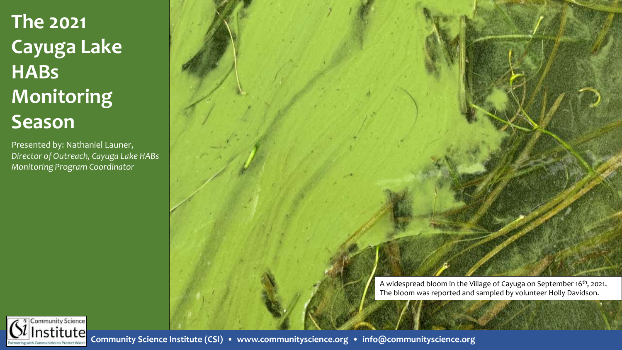# **The 2021 Cayuga Lake HABs Monitoring Season**

Presented by: Nathaniel Launer, *Director of Outreach, Cayuga Lake HABs Monitoring Program Coordinator* 

> A widespread bloom in the Village of Cayuga on September 16<sup>th</sup>, 2021. The bloom was reported and sampled by volunteer Holly Davidson.

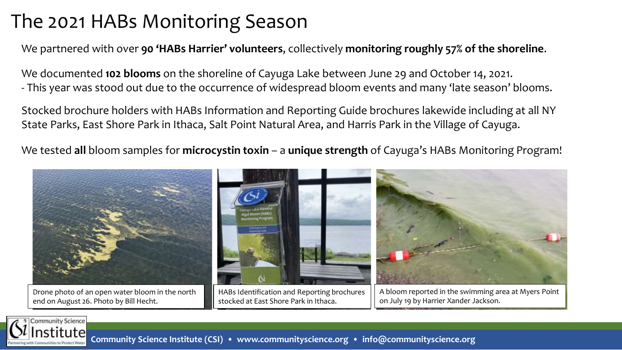### The 2021 HABs Monitoring Season

We partnered with over **90 'HABs Harrier' volunteers**, collectively **monitoring roughly 57% of the shoreline**.

We documented **102 blooms** on the shoreline of Cayuga Lake between June 29 and October 14, 2021. - This year was stood out due to the occurrence of widespread bloom events and many 'late season' blooms.

Stocked brochure holders with HABs Information and Reporting Guide brochures lakewide including at all NY State Parks, East Shore Park in Ithaca, Salt Point Natural Area, and Harris Park in the Village of Cayuga.

We tested **all** bloom samples for **microcystin toxin** – a **unique strength** of Cayuga's HABs Monitoring Program!



stocked at East Shore Park in Ithaca.

on July 19 by Harrier Xander Jackson.



end on August 26. Photo by Bill Hecht.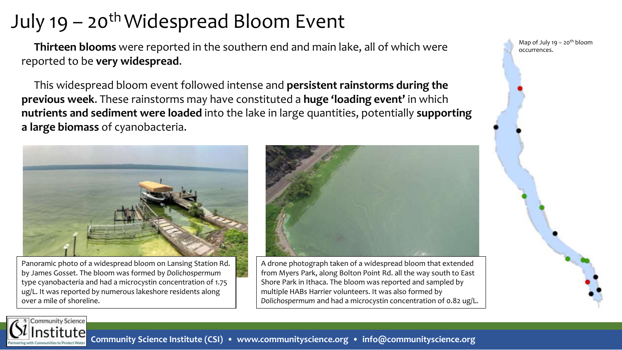## July 19 – 20<sup>th</sup> Widespread Bloom Event

**Thirteen blooms** were reported in the southern end and main lake, all of which were reported to be **very widespread**.

This widespread bloom event followed intense and **persistent rainstorms during the previous week**. These rainstorms may have constituted a **huge 'loading event'** in which **nutrients and sediment were loaded** into the lake in large quantities, potentially **supporting a large biomass** of cyanobacteria.



Panoramic photo of a widespread bloom on Lansing Station Rd. by James Gosset. The bloom was formed by *Dolichospermum*  type cyanobacteria and had a microcystin concentration of 1.75 ug/L. It was reported by numerous lakeshore residents along over a mile of shoreline.



A drone photograph taken of a widespread bloom that extended from Myers Park, along Bolton Point Rd. all the way south to East Shore Park in Ithaca. The bloom was reported and sampled by multiple HABs Harrier volunteers. It was also formed by *Dolichospermum* and had a microcystin concentration of 0.82 ug/L.

Map of July  $19 - 20$ <sup>th</sup> bloom occurrences.



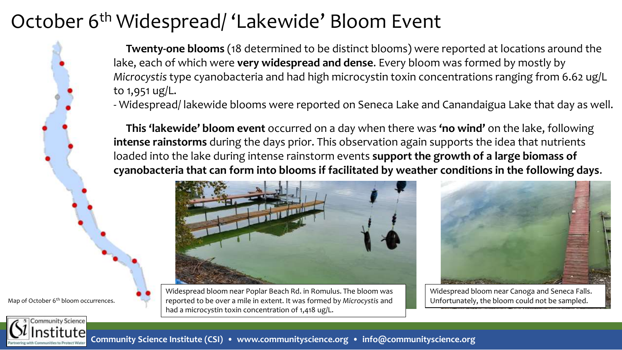### October 6<sup>th</sup> Widespread/ 'Lakewide' Bloom Event

**Twenty-one blooms** (18 determined to be distinct blooms) were reported at locations around the lake, each of which were **very widespread and dense**. Every bloom was formed by mostly by *Microcystis* type cyanobacteria and had high microcystin toxin concentrations ranging from 6.62 ug/L to 1,951 ug/L.

- Widespread/ lakewide blooms were reported on Seneca Lake and Canandaigua Lake that day as well.

**This 'lakewide' bloom event** occurred on a day when there was **'no wind'** on the lake, following **intense rainstorms** during the days prior. This observation again supports the idea that nutrients loaded into the lake during intense rainstorm events **support the growth of a large biomass of cyanobacteria that can form into blooms if facilitated by weather conditions in the following days**.



Widespread bloom near Poplar Beach Rd. in Romulus. The bloom was Map of October 6<sup>th</sup> bloom occurrences. **The contrant of the over a mile in extent. It was formed by Microcystis and decorption and and the bloom could not be sampled.** had a microcystin toxin concentration of 1,418 ug/L.



Widespread bloom near Canoga and Seneca Falls.

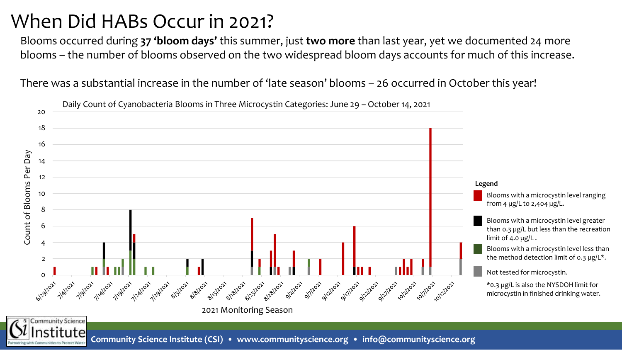### When Did HABs Occur in 2021?

Blooms occurred during **37 'bloom days'** this summer, just **two more** than last year, yet we documented 24 more blooms – the number of blooms observed on the two widespread bloom days accounts for much of this increase.

There was a substantial increase in the number of 'late season' blooms – 26 occurred in October this year!



**Community Science Institute (CSI) • www.communityscience.org • info@communityscience.org**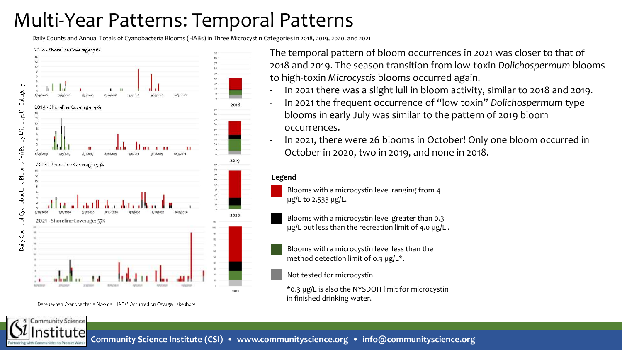## Multi-Year Patterns: Temporal Patterns

Daily Counts and Annual Totals of Cyanobacteria Blooms (HABs) in Three Microcystin Categories in 2018, 2019, 2020, and 2021





Dates when Cyanobacteria Blooms (HABs) Occurred on Cayuga Lakeshore

The temporal pattern of bloom occurrences in 2021 was closer to that of 2018 and 2019. The season transition from low-toxin *Dolichospermum* blooms to high-toxin *Microcystis* blooms occurred again.

- In 2021 there was a slight lull in bloom activity, similar to 2018 and 2019.
- In 2021 the frequent occurrence of "low toxin" *Dolichospermum* type blooms in early July was similar to the pattern of 2019 bloom occurrences.
- In 2021, there were 26 blooms in October! Only one bloom occurred in October in 2020, two in 2019, and none in 2018.

#### **Legend**

Blooms with a microcystin level ranging from 4 µg/L to 2,533 µg/L.

Blooms with a microcystin level greater than 0.3 µg/L but less than the recreation limit of 4.0 µg/L.

Blooms with a microcystin level less than the method detection limit of 0.3  $\mu$ g/L\*.

Not tested for microcystin.

\*0.3 µg/L is also the NYSDOH limit for microcystin in finished drinking water.

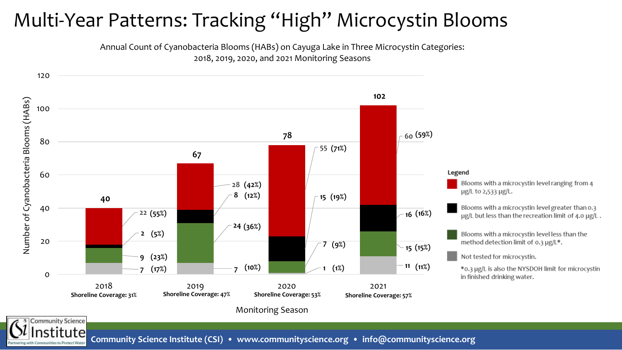### Multi-Year Patterns: Tracking "High" Microcystin Blooms

Annual Count of Cyanobacteria Blooms (HABs) on Cayuga Lake in Three Microcystin Categories: 2018, 2019, 2020, and 2021 Monitoring Seasons

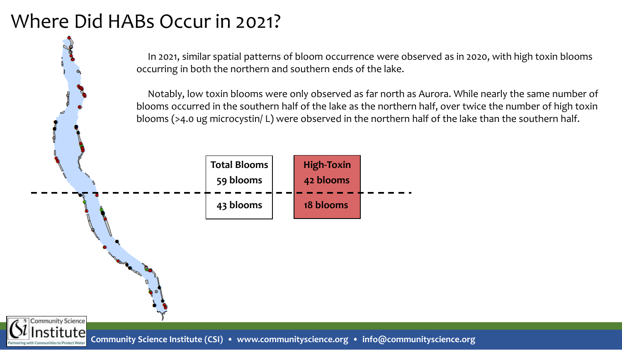### Where Did HABs Occur in 2021?

**2018** In 2021, similar spatial patterns of bloom occurrence were observed as in 2020, with high toxin blooms **2019** occurring in both the northern and southern ends of the lake.

Notably, low toxin blooms were only observed as far north as Aurora. While nearly the same number of blooms occurred in the southern half of the lake as the northern half, over twice the number of high toxin blooms (>4.0 ug microcystin/ L) were observed in the northern half of the lake than the southern half.



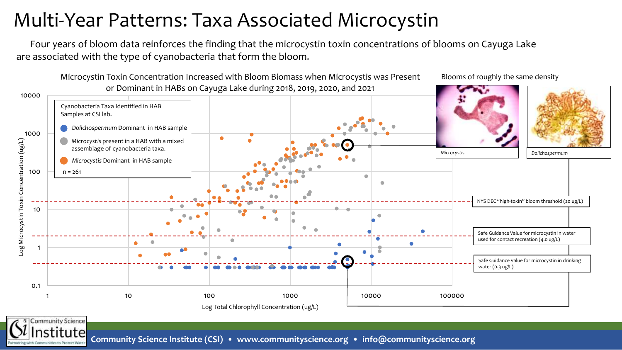### Multi-Year Patterns: Taxa Associated Microcystin

Four years of bloom data reinforces the finding that the microcystin toxin concentrations of blooms on Cayuga Lake are associated with the type of cyanobacteria that form the bloom.

Microcystin Toxin Concentration Increased with Bloom Biomass when Microcystis was Present or Dominant in HABs on Cayuga Lake during 2018, 2019, 2020, and 2021

Blooms of roughly the same density



**Community Science Institute (CSI) • www.communityscience.org • info@communityscience.org**

Community Science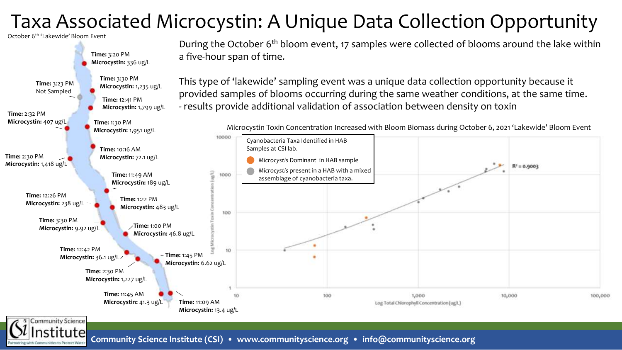## Taxa Associated Microcystin: A Unique Data Collection Opportunity

October 6th 'Lakewide' Bloom Event

Community Science



During the October 6<sup>th</sup> bloom event, 17 samples were collected of blooms around the lake within a five-hour span of time.

This type of 'lakewide' sampling event was a unique data collection opportunity because it provided samples of blooms occurring during the same weather conditions, at the same time. - results provide additional validation of association between density on toxin



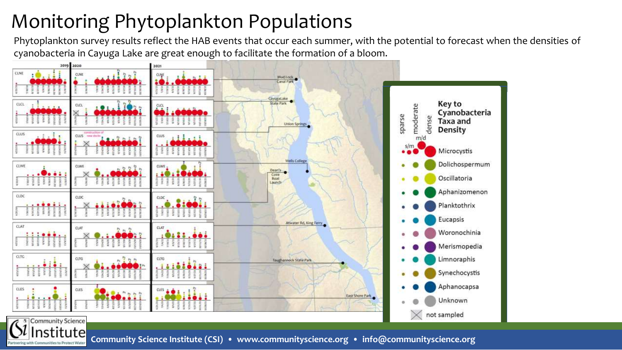# Monitoring Phytoplankton Populations

**2018 2019** cyanobacteria in Cayuga Lake are great enough to facilitate the formation of a bloom.Phytoplankton survey results reflect the HAB events that occur each summer, with the potential to forecast when the densities of



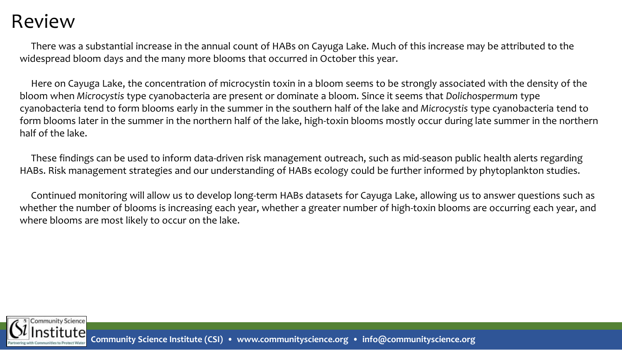#### Review

There was a substantial increase in the annual count of HABs on Cayuga Lake. Much of this increase may be attributed to the widespread bloom days and the many more blooms that occurred in October this year.

Here on Cayuga Lake, the concentration of microcystin toxin in a bloom seems to be strongly associated with the density of the bloom when *Microcystis* type cyanobacteria are present or dominate a bloom. Since it seems that *Dolichospermum* type cyanobacteria tend to form blooms early in the summer in the southern half of the lake and *Microcystis* type cyanobacteria tend to form blooms later in the summer in the northern half of the lake, high-toxin blooms mostly occur during late summer in the northern half of the lake.

These findings can be used to inform data-driven risk management outreach, such as mid-season public health alerts regarding HABs. Risk management strategies and our understanding of HABs ecology could be further informed by phytoplankton studies.

Continued monitoring will allow us to develop long-term HABs datasets for Cayuga Lake, allowing us to answer questions such as whether the number of blooms is increasing each year, whether a greater number of high-toxin blooms are occurring each year, and where blooms are most likely to occur on the lake.



**Community Science Institute (CSI) • www.communityscience.org • info@communityscience.org**